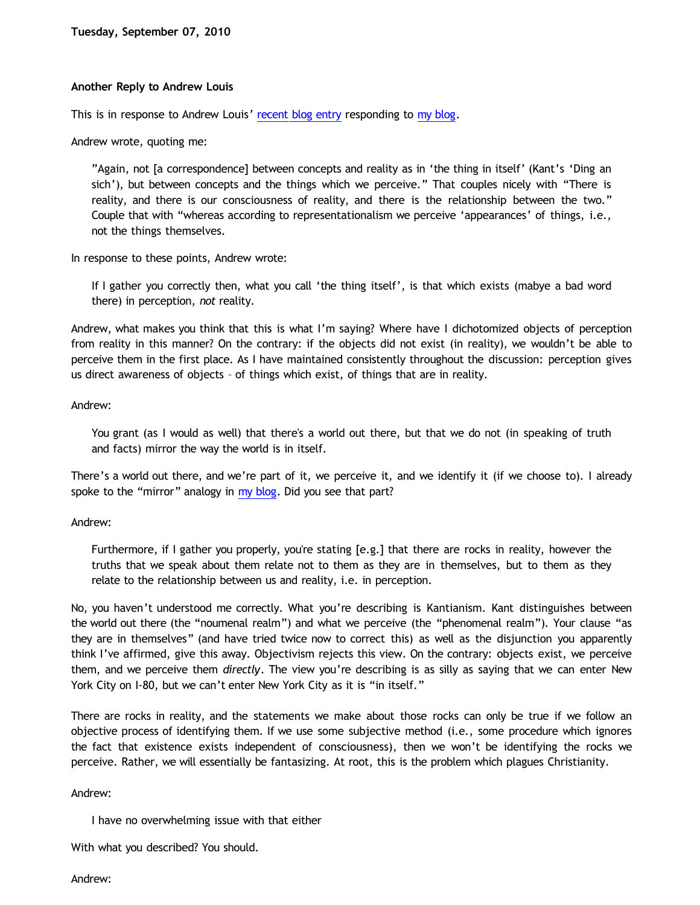# **Another Reply to Andrew Louis**

This is in response to Andrew Louis' [recent blog entry](http://idiotphilosophy.blogspot.com/2010/09/p3-response-to-dawson.html) responding to [my blog](http://bahnsenburner.blogspot.com/2010/09/reply-to-andrew-louis.html).

Andrew wrote, quoting me:

"Again, not [a correspondence] between concepts and reality as in 'the thing in itself' (Kant's 'Ding an sich'), but between concepts and the things which we perceive." That couples nicely with "There is reality, and there is our consciousness of reality, and there is the relationship between the two." Couple that with "whereas according to representationalism we perceive 'appearances' of things, i.e., not the things themselves.

In response to these points, Andrew wrote:

If I gather you correctly then, what you call 'the thing itself', is that which exists (mabye a bad word there) in perception, *not* reality.

Andrew, what makes you think that this is what I'm saying? Where have I dichotomized objects of perception from reality in this manner? On the contrary: if the objects did not exist (in reality), we wouldn't be able to perceive them in the first place. As I have maintained consistently throughout the discussion: perception gives us direct awareness of objects – of things which exist, of things that are in reality.

### Andrew:

You grant (as I would as well) that there's a world out there, but that we do not (in speaking of truth and facts) mirror the way the world is in itself.

There's a world out there, and we're part of it, we perceive it, and we identify it (if we choose to). I already spoke to the "mirror" analogy in [my blog](http://bahnsenburner.blogspot.com/2010/09/reply-to-andrew-louis.html). Did you see that part?

# Andrew:

Furthermore, if I gather you properly, you're stating [e.g.] that there are rocks in reality, however the truths that we speak about them relate not to them as they are in themselves, but to them as they relate to the relationship between us and reality, i.e. in perception.

No, you haven't understood me correctly. What you're describing is Kantianism. Kant distinguishes between the world out there (the "noumenal realm") and what we perceive (the "phenomenal realm"). Your clause "as they are in themselves" (and have tried twice now to correct this) as well as the disjunction you apparently think I've affirmed, give this away. Objectivism rejects this view. On the contrary: objects exist, we perceive them, and we perceive them *directly*. The view you're describing is as silly as saying that we can enter New York City on I-80, but we can't enter New York City as it is "in itself."

There are rocks in reality, and the statements we make about those rocks can only be true if we follow an objective process of identifying them. If we use some subjective method (i.e., some procedure which ignores the fact that existence exists independent of consciousness), then we won't be identifying the rocks we perceive. Rather, we will essentially be fantasizing. At root, this is the problem which plagues Christianity.

# Andrew:

I have no overwhelming issue with that either

With what you described? You should.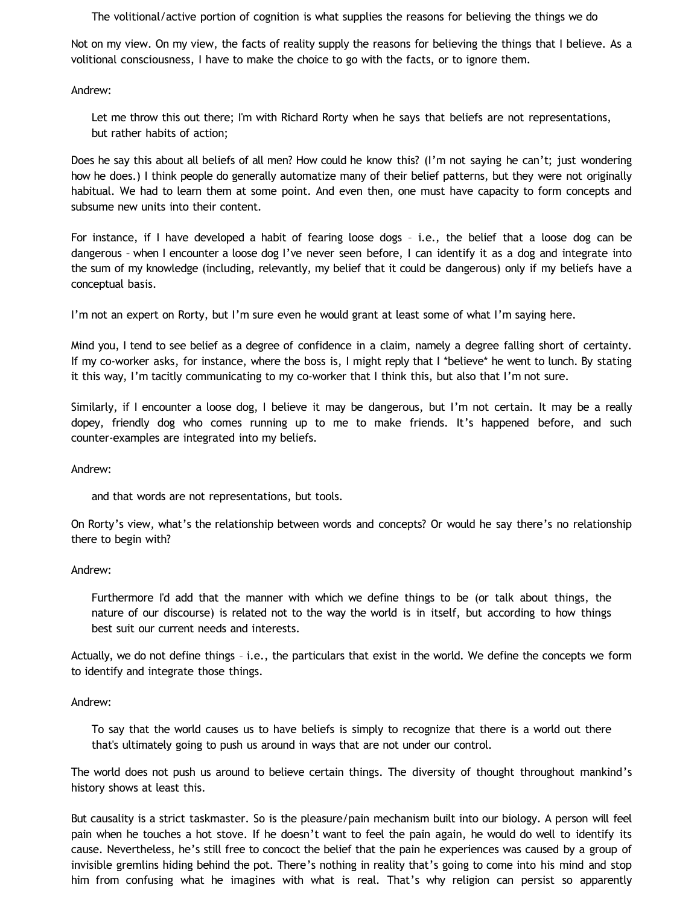The volitional/active portion of cognition is what supplies the reasons for believing the things we do

Not on my view. On my view, the facts of reality supply the reasons for believing the things that I believe. As a volitional consciousness, I have to make the choice to go with the facts, or to ignore them.

Andrew:

Let me throw this out there; I'm with Richard Rorty when he says that beliefs are not representations, but rather habits of action;

Does he say this about all beliefs of all men? How could he know this? (I'm not saying he can't; just wondering how he does.) I think people do generally automatize many of their belief patterns, but they were not originally habitual. We had to learn them at some point. And even then, one must have capacity to form concepts and subsume new units into their content.

For instance, if I have developed a habit of fearing loose dogs – i.e., the belief that a loose dog can be dangerous – when I encounter a loose dog I've never seen before, I can identify it as a dog and integrate into the sum of my knowledge (including, relevantly, my belief that it could be dangerous) only if my beliefs have a conceptual basis.

I'm not an expert on Rorty, but I'm sure even he would grant at least some of what I'm saying here.

Mind you, I tend to see belief as a degree of confidence in a claim, namely a degree falling short of certainty. If my co-worker asks, for instance, where the boss is, I might reply that I \*believe\* he went to lunch. By stating it this way, I'm tacitly communicating to my co-worker that I think this, but also that I'm not sure.

Similarly, if I encounter a loose dog, I believe it may be dangerous, but I'm not certain. It may be a really dopey, friendly dog who comes running up to me to make friends. It's happened before, and such counter-examples are integrated into my beliefs.

Andrew:

and that words are not representations, but tools.

On Rorty's view, what's the relationship between words and concepts? Or would he say there's no relationship there to begin with?

# Andrew:

Furthermore I'd add that the manner with which we define things to be (or talk about things, the nature of our discourse) is related not to the way the world is in itself, but according to how things best suit our current needs and interests.

Actually, we do not define things – i.e., the particulars that exist in the world. We define the concepts we form to identify and integrate those things.

# Andrew:

To say that the world causes us to have beliefs is simply to recognize that there is a world out there that's ultimately going to push us around in ways that are not under our control.

The world does not push us around to believe certain things. The diversity of thought throughout mankind's history shows at least this.

But causality is a strict taskmaster. So is the pleasure/pain mechanism built into our biology. A person will feel pain when he touches a hot stove. If he doesn't want to feel the pain again, he would do well to identify its cause. Nevertheless, he's still free to concoct the belief that the pain he experiences was caused by a group of invisible gremlins hiding behind the pot. There's nothing in reality that's going to come into his mind and stop him from confusing what he imagines with what is real. That's why religion can persist so apparently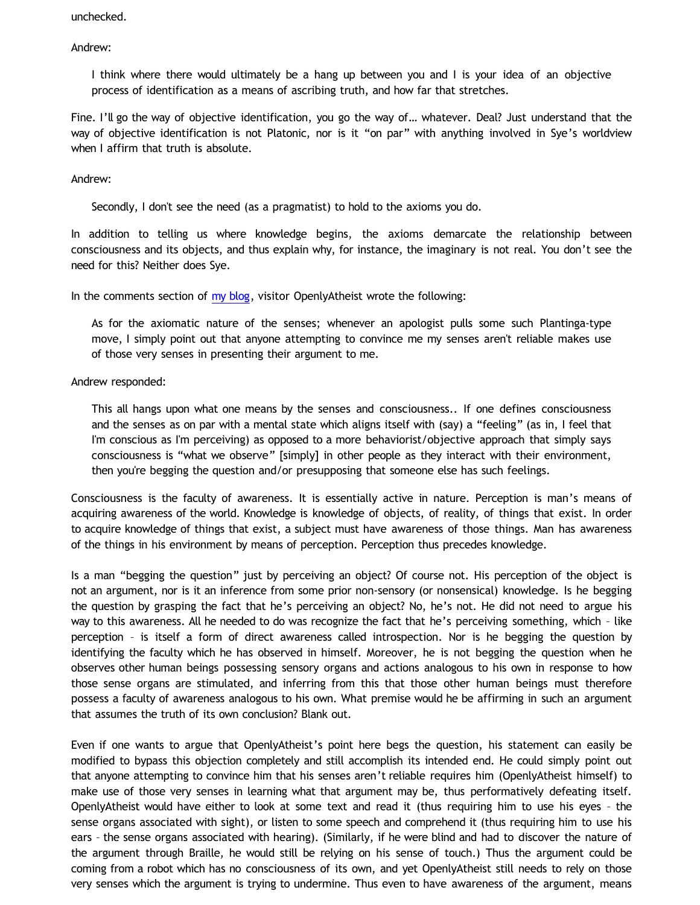unchecked.

Andrew:

I think where there would ultimately be a hang up between you and I is your idea of an objective process of identification as a means of ascribing truth, and how far that stretches.

Fine. I'll go the way of objective identification, you go the way of… whatever. Deal? Just understand that the way of objective identification is not Platonic, nor is it "on par" with anything involved in Sye's worldview when I affirm that truth is absolute.

Andrew:

Secondly, I don't see the need (as a pragmatist) to hold to the axioms you do.

In addition to telling us where knowledge begins, the axioms demarcate the relationship between consciousness and its objects, and thus explain why, for instance, the imaginary is not real. You don't see the need for this? Neither does Sye.

In the comments section of [my blog](http://bahnsenburner.blogspot.com/2010/09/reply-to-andrew-louis.html), visitor OpenlyAtheist wrote the following:

As for the axiomatic nature of the senses; whenever an apologist pulls some such Plantinga-type move, I simply point out that anyone attempting to convince me my senses aren't reliable makes use of those very senses in presenting their argument to me.

Andrew responded:

This all hangs upon what one means by the senses and consciousness.. If one defines consciousness and the senses as on par with a mental state which aligns itself with (say) a "feeling" (as in, I feel that I'm conscious as I'm perceiving) as opposed to a more behaviorist/objective approach that simply says consciousness is "what we observe" [simply] in other people as they interact with their environment, then you're begging the question and/or presupposing that someone else has such feelings.

Consciousness is the faculty of awareness. It is essentially active in nature. Perception is man's means of acquiring awareness of the world. Knowledge is knowledge of objects, of reality, of things that exist. In order to acquire knowledge of things that exist, a subject must have awareness of those things. Man has awareness of the things in his environment by means of perception. Perception thus precedes knowledge.

Is a man "begging the question" just by perceiving an object? Of course not. His perception of the object is not an argument, nor is it an inference from some prior non-sensory (or nonsensical) knowledge. Is he begging the question by grasping the fact that he's perceiving an object? No, he's not. He did not need to argue his way to this awareness. All he needed to do was recognize the fact that he's perceiving something, which – like perception – is itself a form of direct awareness called introspection. Nor is he begging the question by identifying the faculty which he has observed in himself. Moreover, he is not begging the question when he observes other human beings possessing sensory organs and actions analogous to his own in response to how those sense organs are stimulated, and inferring from this that those other human beings must therefore possess a faculty of awareness analogous to his own. What premise would he be affirming in such an argument that assumes the truth of its own conclusion? Blank out.

Even if one wants to argue that OpenlyAtheist's point here begs the question, his statement can easily be modified to bypass this objection completely and still accomplish its intended end. He could simply point out that anyone attempting to convince him that his senses aren't reliable requires him (OpenlyAtheist himself) to make use of those very senses in learning what that argument may be, thus performatively defeating itself. OpenlyAtheist would have either to look at some text and read it (thus requiring him to use his eyes – the sense organs associated with sight), or listen to some speech and comprehend it (thus requiring him to use his ears – the sense organs associated with hearing). (Similarly, if he were blind and had to discover the nature of the argument through Braille, he would still be relying on his sense of touch.) Thus the argument could be coming from a robot which has no consciousness of its own, and yet OpenlyAtheist still needs to rely on those very senses which the argument is trying to undermine. Thus even to have awareness of the argument, means